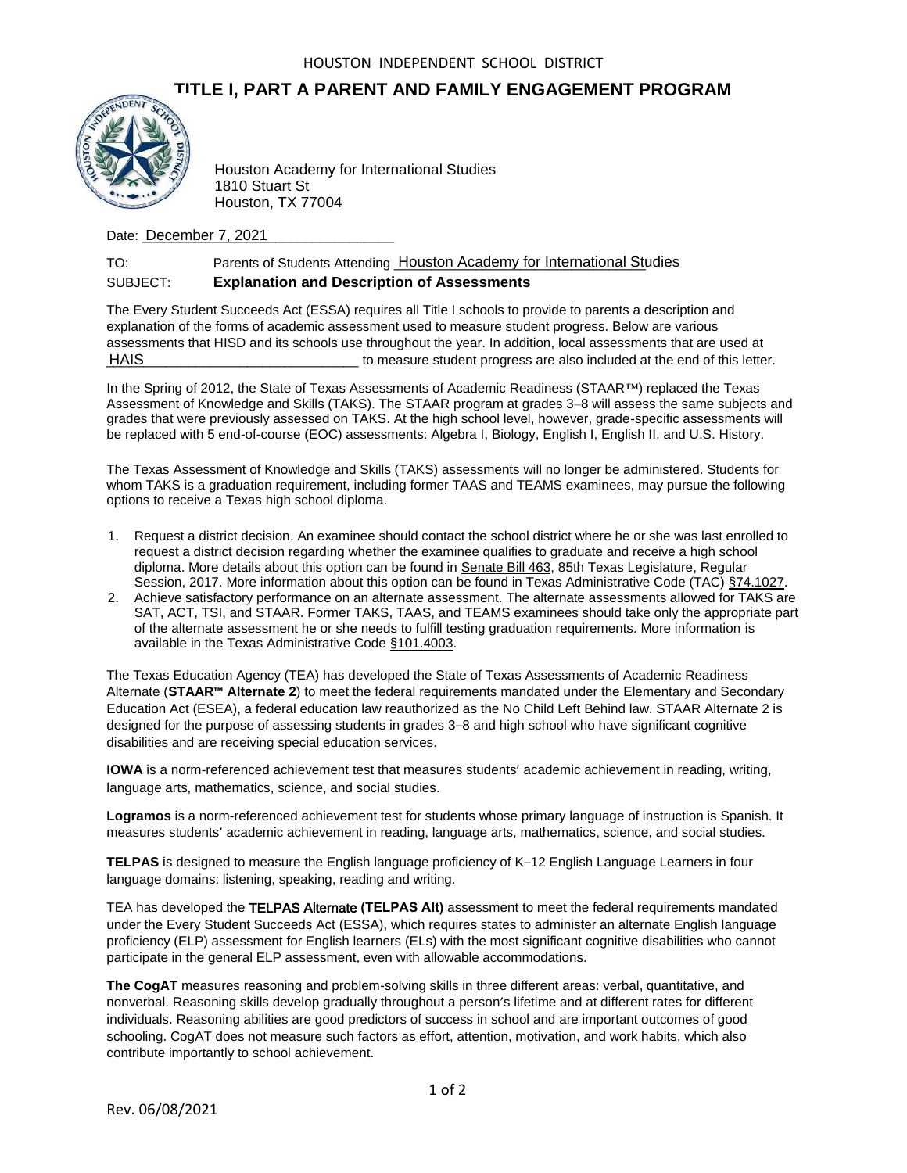## **TITLE I, PART A PARENT AND FAMILY ENGAGEMENT PROGRAM**



1810 Stuart St Houston, TX 77004

Date: **December 7, 2021** 

## TO: Parents of Students Attending Houston Academy for International Studies SUBJECT: **Explanation and Description of Assessments**

The Every Student Succeeds Act (ESSA) requires all Title I schools to provide to parents a description and explanation of the forms of academic assessment used to measure student progress. Below are various assessments that HISD and its schools use throughout the year. In addition, local assessments that are used at \_\_\_\_\_\_\_\_\_\_\_\_\_\_\_\_\_\_\_\_\_\_\_\_\_\_\_\_\_\_\_\_\_\_ to measure student progress are also included at the end of this letter. **HAIS** 

In the Spring of 2012, the State of Texas Assessments of Academic Readiness (STAAR™) replaced the Texas Assessment of Knowledge and Skills (TAKS). The STAAR program at grades 3–8 will assess the same subjects and grades that were previously assessed on TAKS. At the high school level, however, grade-specific assessments will be replaced with 5 end-of-course (EOC) assessments: Algebra I, Biology, English I, English II, and U.S. History.

The Texas Assessment of Knowledge and Skills (TAKS) assessments will no longer be administered. Students for whom TAKS is a graduation requirement, including former TAAS and TEAMS examinees, may pursue the following options to receive a Texas high school diploma.

- 1. Request a district decision. An examinee should contact the school district where he or she was last enrolled to request a district decision regarding whether the examinee qualifies to graduate and receive a high school diploma. More details about this option can be found in Senate Bill 463, 85th Texas Legislature, Regular Session, 2017. More information about this option can be found in Texas Administrative Code (TAC) §74.1027.
- 2. Achieve satisfactory performance on an alternate assessment. The alternate assessments allowed for TAKS are SAT, ACT, TSI, and STAAR. Former TAKS, TAAS, and TEAMS examinees should take only the appropriate part of the alternate assessment he or she needs to fulfill testing graduation requirements. More information is available in the Texas Administrative Code §101.4003.

The Texas Education Agency (TEA) has developed the State of Texas Assessments of Academic Readiness Alternate (**STAAR™ Alternate 2**) to meet the federal requirements mandated under the Elementary and Secondary Education Act (ESEA), a federal education law reauthorized as the No Child Left Behind law. STAAR Alternate 2 is designed for the purpose of assessing students in grades 3–8 and high school who have significant cognitive disabilities and are receiving special education services. Rev. 1981<br>
1810 Stuart Studies<br>
1810 Stuart Stuart Stuart Stuart Stuart Stuart Stuart Stuart Stuart Stuart Stuart Stuart Stuart Stuart Stuart Stuart Stuart Stuart Stuart Stuart Stuart Stuart Stuart Stuart Stuart Stuart St

**IOWA** is a norm-referenced achievement test that measures students' academic achievement in reading, writing, language arts, mathematics, science, and social studies.

**Logramos** is a norm-referenced achievement test for students whose primary language of instruction is Spanish. It measures students' academic achievement in reading, language arts, mathematics, science, and social studies.

**TELPAS** is designed to measure the English language proficiency of K–12 English Language Learners in four language domains: listening, speaking, reading and writing.

TEA has developed the TELPAS Alternate **(TELPAS Alt)** assessment to meet the federal requirements mandated under the Every Student Succeeds Act (ESSA), which requires states to administer an alternate English language proficiency (ELP) assessment for English learners (ELs) with the most significant cognitive disabilities who cannot participate in the general ELP assessment, even with allowable accommodations.

**The CogAT** measures reasoning and problem-solving skills in three different areas: verbal, quantitative, and nonverbal. Reasoning skills develop gradually throughout a person's lifetime and at different rates for different individuals. Reasoning abilities are good predictors of success in school and are important outcomes of good schooling. CogAT does not measure such factors as effort, attention, motivation, and work habits, which also contribute importantly to school achievement.